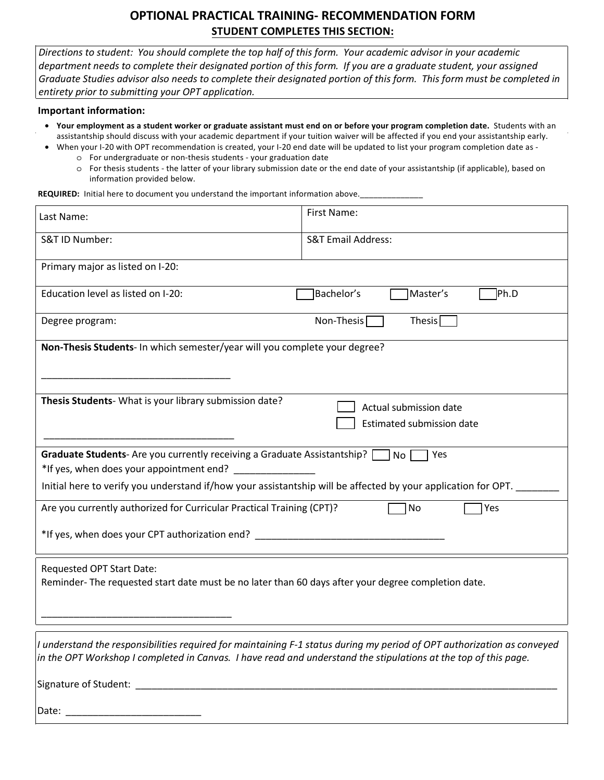## **OPTIONAL PRACTICAL TRAINING- RECOMMENDATION FORM STUDENT COMPLETES THIS SECTION:**

*Directions to student: You should complete the top half of this form. Your academic advisor in your academic department needs to complete their designated portion of this form. If you are a graduate student, your assigned Graduate Studies advisor also needs to complete their designated portion of this form. This form must be completed in entirety prior to submitting your OPT application.*

## **Important information:**

- **Your employment as a student worker or graduate assistant must end on or before your program completion date.** Students with an assistantship should discuss with your academic department if your tuition waiver will be affected if you end your assistantship early.
- When your I-20 with OPT recommendation is created, your I-20 end date will be updated to list your program completion date as o For undergraduate or non-thesis students - your graduation date
	- o For thesis students the latter of your library submission date or the end date of your assistantship (if applicable), based on information provided below.

REQUIRED: Initial here to document you understand the important information above.

| Last Name:                                                                                                                                          | First Name:                                                |  |
|-----------------------------------------------------------------------------------------------------------------------------------------------------|------------------------------------------------------------|--|
| S&T ID Number:                                                                                                                                      | <b>S&amp;T Email Address:</b>                              |  |
| Primary major as listed on I-20:                                                                                                                    |                                                            |  |
| Education level as listed on I-20:                                                                                                                  | Bachelor's<br>Master's<br>Ph.D                             |  |
| Degree program:                                                                                                                                     | Non-Thesis<br>Thesis <sup>[</sup>                          |  |
| Non-Thesis Students- In which semester/year will you complete your degree?                                                                          |                                                            |  |
| Thesis Students-What is your library submission date?                                                                                               | Actual submission date<br><b>Estimated submission date</b> |  |
| <b>Graduate Students-</b> Are you currently receiving a Graduate Assistantship? $\Box$ No $\Box$<br>Yes<br>*If yes, when does your appointment end? |                                                            |  |
| Initial here to verify you understand if/how your assistantship will be affected by your application for OPT.                                       |                                                            |  |
| Are you currently authorized for Curricular Practical Training (CPT)?                                                                               | No<br>Yes                                                  |  |
| *If yes, when does your CPT authorization end? _________________________________                                                                    |                                                            |  |
| Requested OPT Start Date:<br>Reminder-The requested start date must be no later than 60 days after your degree completion date.                     |                                                            |  |
| I understand the responsibilities required for maintaining F-1 status during my period of OPT authorization as conveyed                             |                                                            |  |
| in the OPT Workshop I completed in Canvas. I have read and understand the stipulations at the top of this page.                                     |                                                            |  |
| Signature of Student:                                                                                                                               |                                                            |  |

Date: